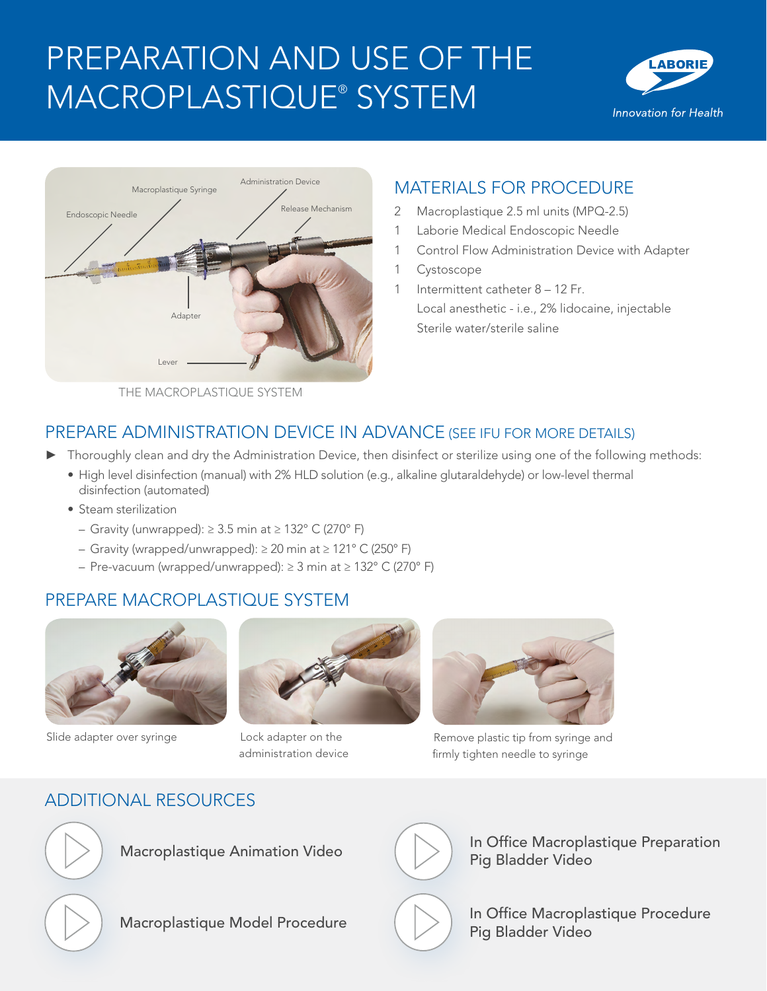# PREPARATION AND USE OF THE MACROPLASTIQUE® SYSTEM





# MATERIALS FOR PROCEDURE

- 2 Macroplastique 2.5 ml units (MPQ-2.5)
- 1 Laborie Medical Endoscopic Needle
- 1 Control Flow Administration Device with Adapter
- 1 Cystoscope

1 Intermittent catheter 8 - 12 Fr. Local anesthetic - i.e., 2% lidocaine, injectable Sterile water/sterile saline

THE MACROPLASTIQUE SYSTEM

## PREPARE ADMINISTRATION DEVICE IN ADVANCE (SEE IFU FOR MORE DETAILS)

- ► Thoroughly clean and dry the Administration Device, then disinfect or sterilize using one of the following methods:
	- High level disinfection (manual) with 2% HLD solution (e.g., alkaline glutaraldehyde) or low-level thermal disinfection (automated)
	- Steam sterilization
		- Gravity (unwrapped): ≥ 3.5 min at ≥ 132° C (270° F)
		- Gravity (wrapped/unwrapped): ≥ 20 min at ≥ 121° C (250° F)
		- Pre-vacuum (wrapped/unwrapped): ≥ 3 min at ≥ 132° C (270° F)

## PREPARE MACROPLASTIQUE SYSTEM



Slide adapter over syringe **Lock adapter on the** 



administration device



Remove plastic tip from syringe and firmly tighten needle to syringe

# ADDITIONAL RESOURCES



Macroplastique Animation Video





Macroplastique Animation Video<br>
Pig Bladder Video<br>
In Office Macroplastique Procedure<br>
In Office Macroplastique Procedure<br>
Pig Bladder Video Pig Bladder Video



In Office Macroplastique Procedure Pig Bladder Video